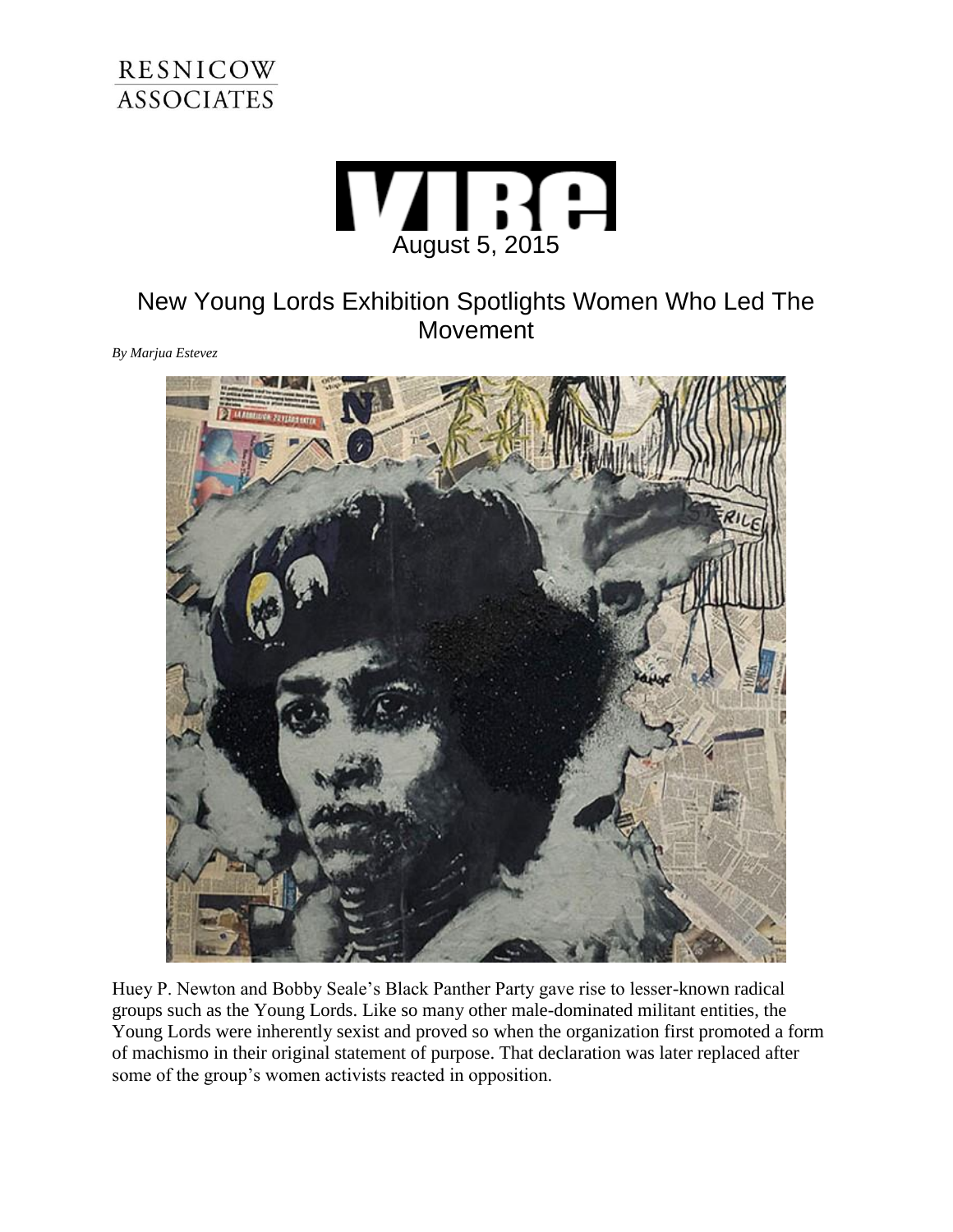



## New Young Lords Exhibition Spotlights Women Who Led The Movement

*By Marjua Estevez*



Huey P. Newton and Bobby Seale's Black Panther Party gave rise to lesser-known radical groups such as the Young Lords. Like so many other male-dominated militant entities, the Young Lords were inherently sexist and proved so when the organization first promoted a form of machismo in their original statement of purpose. That declaration was later replaced after some of the group's women activists reacted in opposition.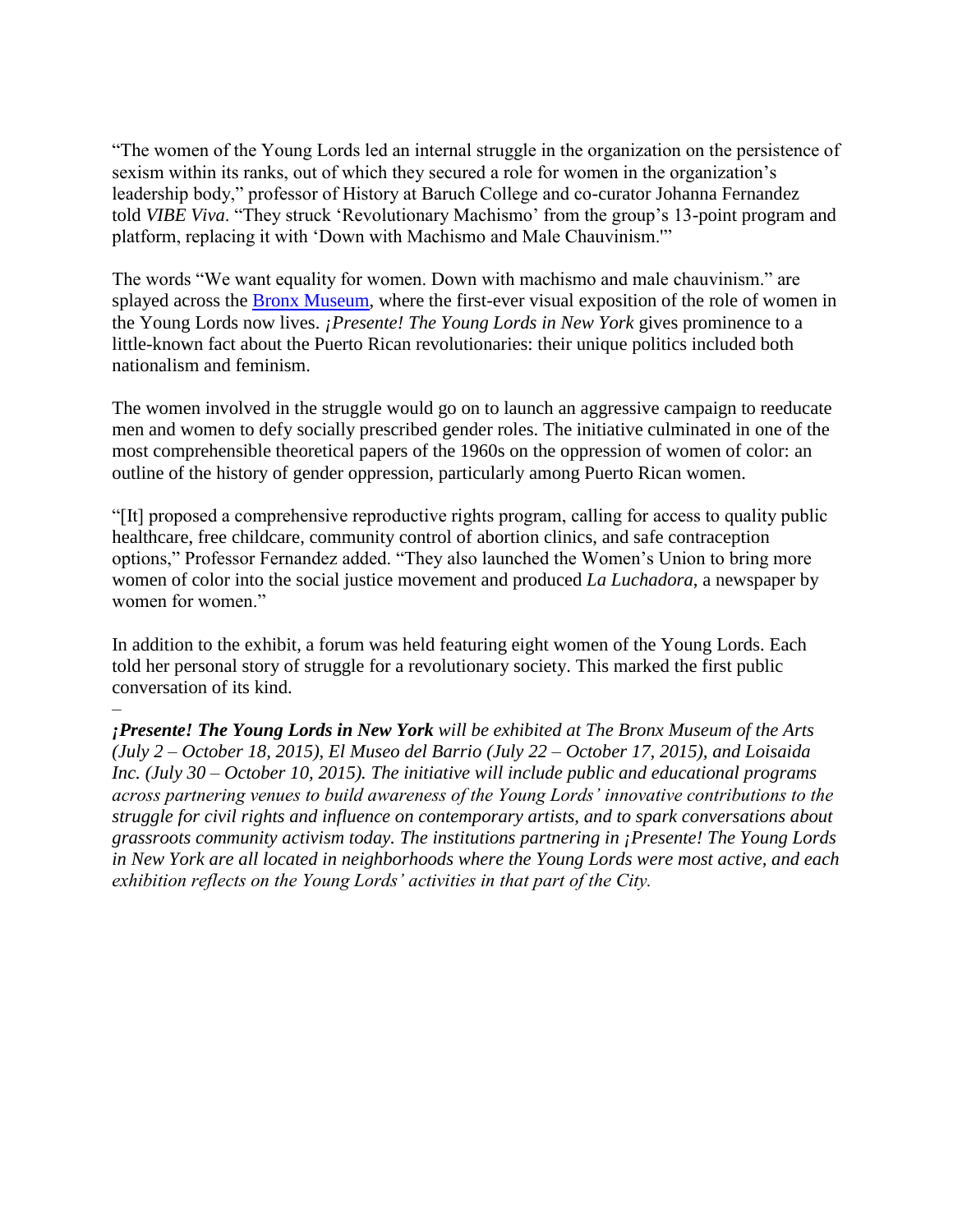"The women of the Young Lords led an internal struggle in the organization on the persistence of sexism within its ranks, out of which they secured a role for women in the organization's leadership body," professor of History at Baruch College and co-curator Johanna Fernandez told *VIBE Viva*. "They struck 'Revolutionary Machismo' from the group's 13-point program and platform, replacing it with 'Down with Machismo and Male Chauvinism.'"

The words "We want equality for women. Down with machismo and male chauvinism." are splayed across the [Bronx Museum,](http://www.bronxmuseum.org/) where the first-ever visual exposition of the role of women in the Young Lords now lives. *¡Presente! The Young Lords in New York* gives prominence to a little-known fact about the Puerto Rican revolutionaries: their unique politics included both nationalism and feminism.

The women involved in the struggle would go on to launch an aggressive campaign to reeducate men and women to defy socially prescribed gender roles. The initiative culminated in one of the most comprehensible theoretical papers of the 1960s on the oppression of women of color: an outline of the history of gender oppression, particularly among Puerto Rican women.

"[It] proposed a comprehensive reproductive rights program, calling for access to quality public healthcare, free childcare, community control of abortion clinics, and safe contraception options," Professor Fernandez added. "They also launched the Women's Union to bring more women of color into the social justice movement and produced *La Luchadora*, a newspaper by women for women."

In addition to the exhibit, a forum was held featuring eight women of the Young Lords. Each told her personal story of struggle for a revolutionary society. This marked the first public conversation of its kind.

–

*¡Presente! The Young Lords in New York will be exhibited at The Bronx Museum of the Arts (July 2 – October 18, 2015), El Museo del Barrio (July 22 – October 17, 2015), and Loisaida Inc. (July 30 – October 10, 2015). The initiative will include public and educational programs across partnering venues to build awareness of the Young Lords' innovative contributions to the struggle for civil rights and influence on contemporary artists, and to spark conversations about grassroots community activism today. The institutions partnering in ¡Presente! The Young Lords in New York are all located in neighborhoods where the Young Lords were most active, and each exhibition reflects on the Young Lords' activities in that part of the City.*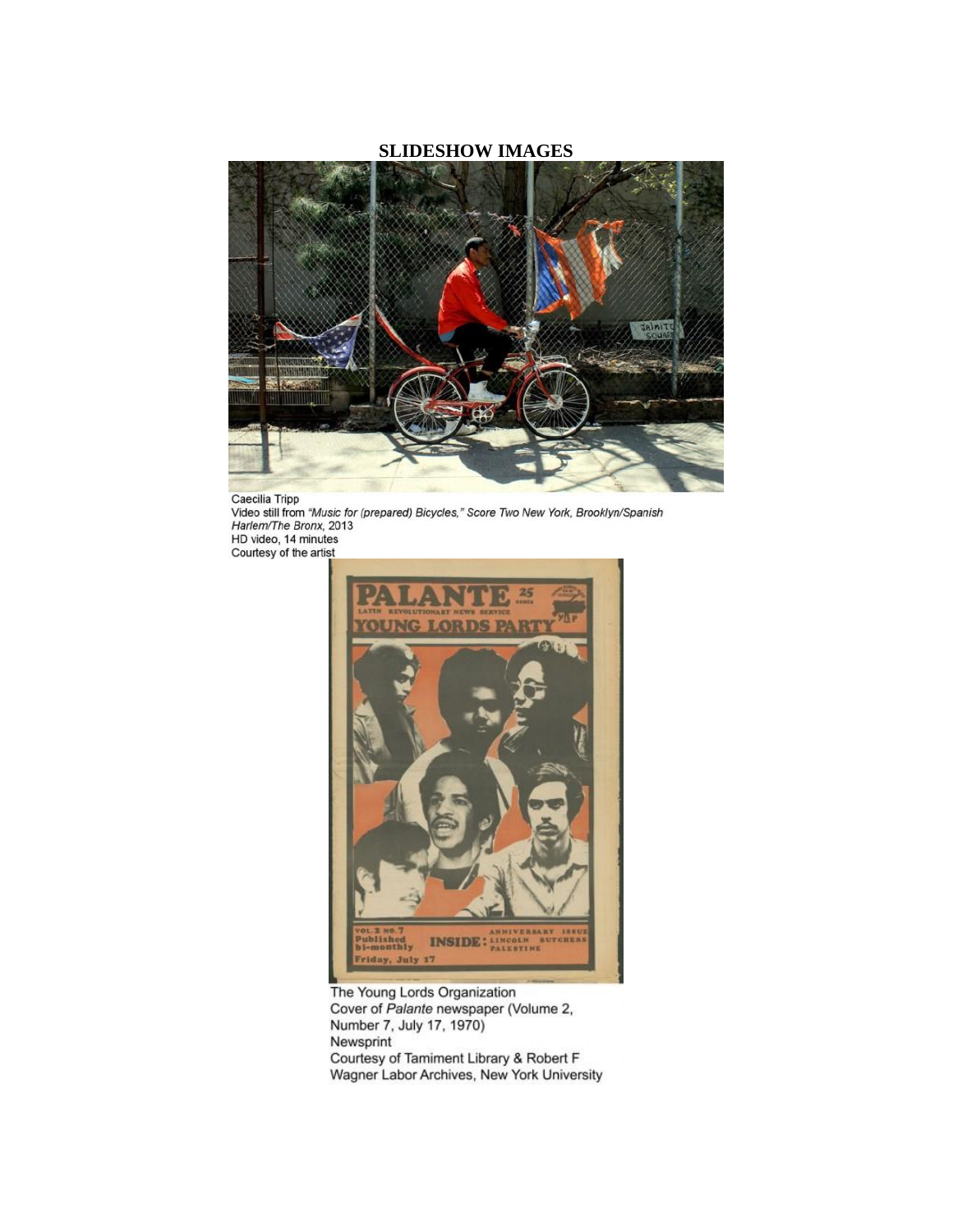## **SLIDESHOW IMAGES**



Caecilia Tripp<br>Video still from "Music for (prepared) Bicycles," Score Two New York, Brooklyn/Spanish<br>Harlem/The Bronx, 2013<br>HD video 14 minutes HD video, 14 minutes<br>Courtesy of the artist



The Young Lords Organization<br>Cover of Palante newspaper (Volume 2, Number 7, July 17, 1970) Newsprint Courtesy of Tamiment Library & Robert F Wagner Labor Archives, New York University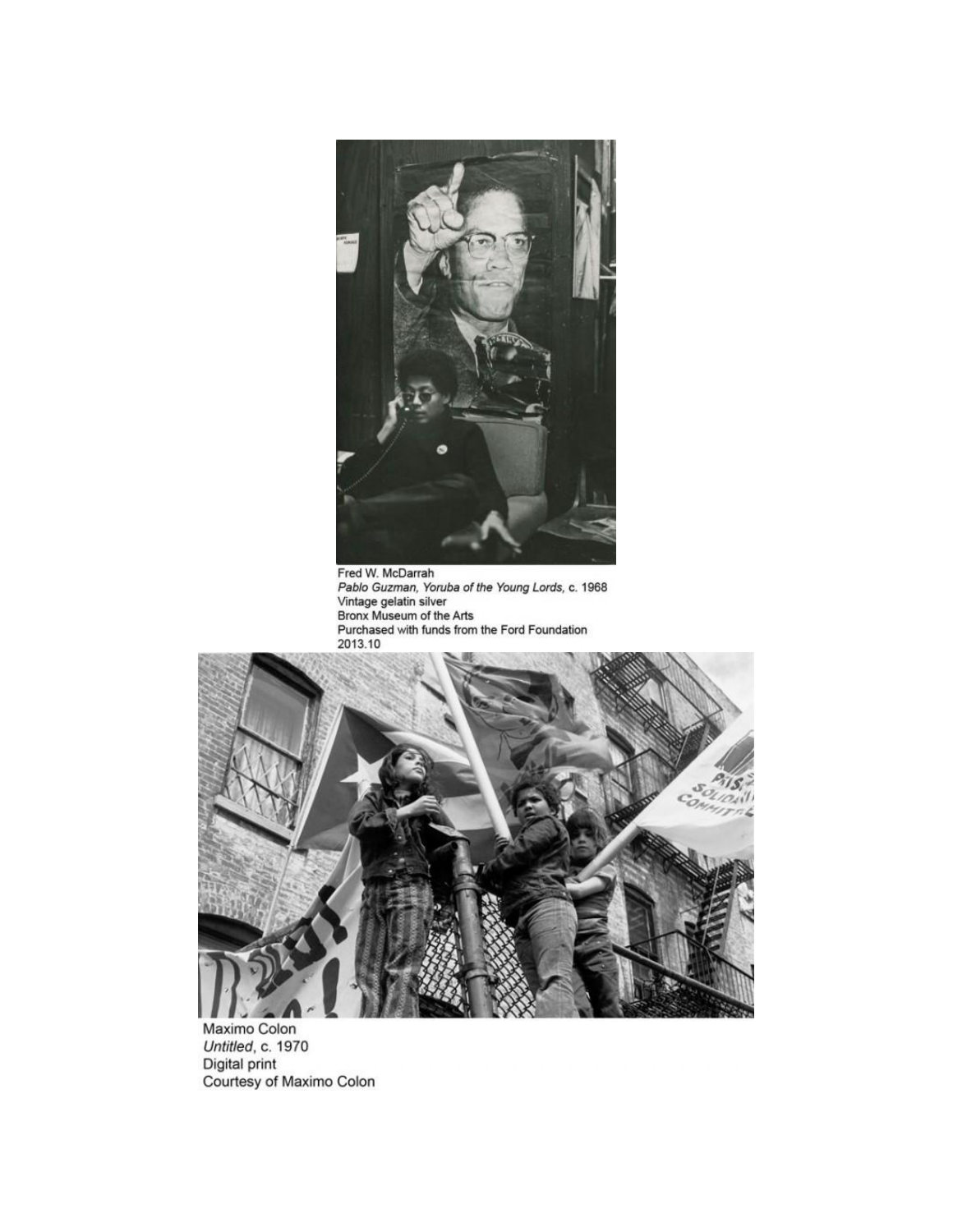

Fred W. McDarrah<br>Pablo Guzman, Yoruba of the Young Lords, c. 1968<br>Vintage gelatin silver<br>Bronx Museum of the Arts<br>Purchased with funds from the Ford Foundation<br>2013.10



Maximo Colon Untitled, c. 1970<br>Digital print Courtesy of Maximo Colon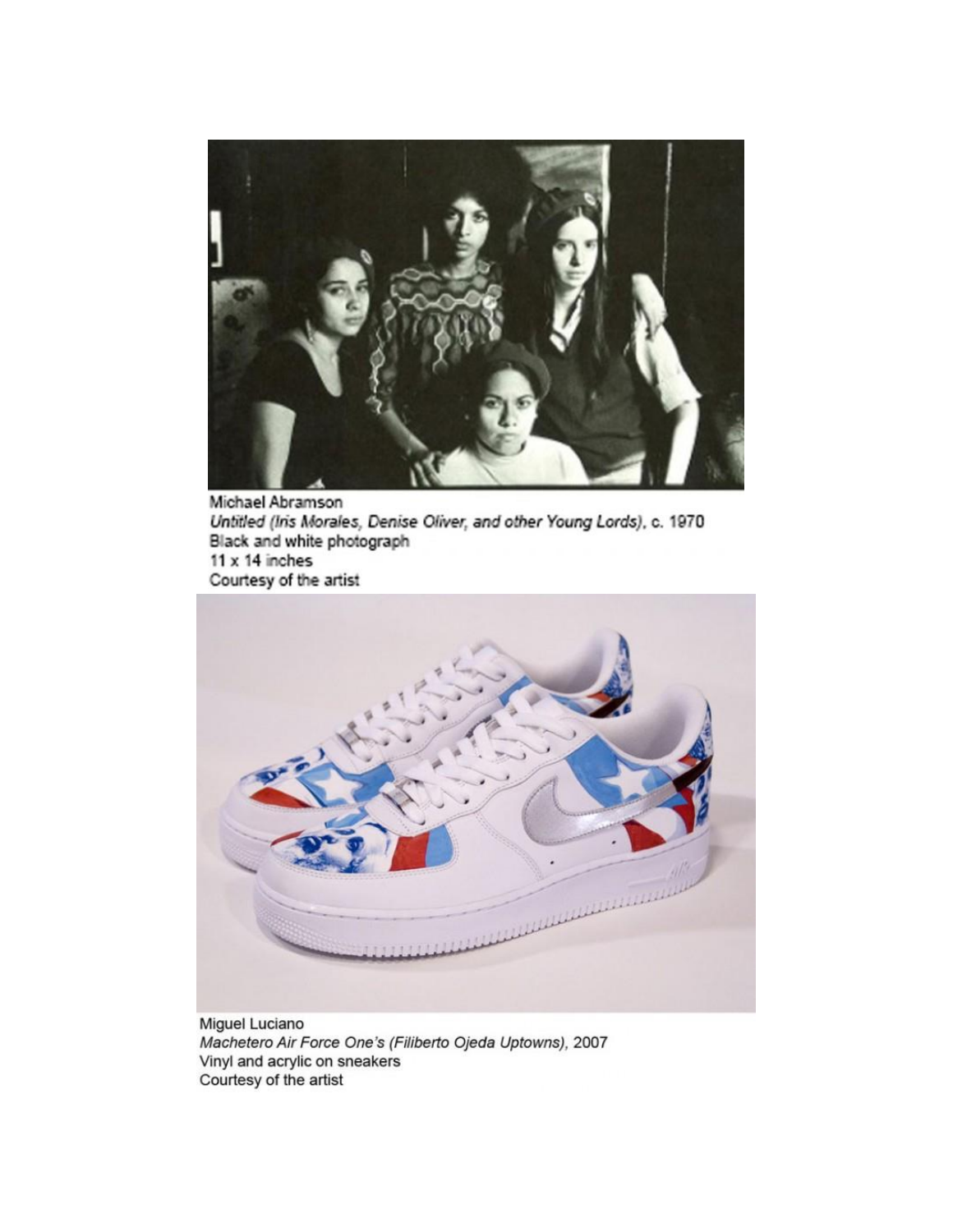

Michael Abramson Untitled (Iris Morales, Denise Oliver, and other Young Lords), c. 1970 Black and white photograph  $11 \times 14$  inches Courtesy of the artist



Miguel Luciano Machetero Air Force One's (Filiberto Ojeda Uptowns), 2007 Vinyl and acrylic on sneakers Courtesy of the artist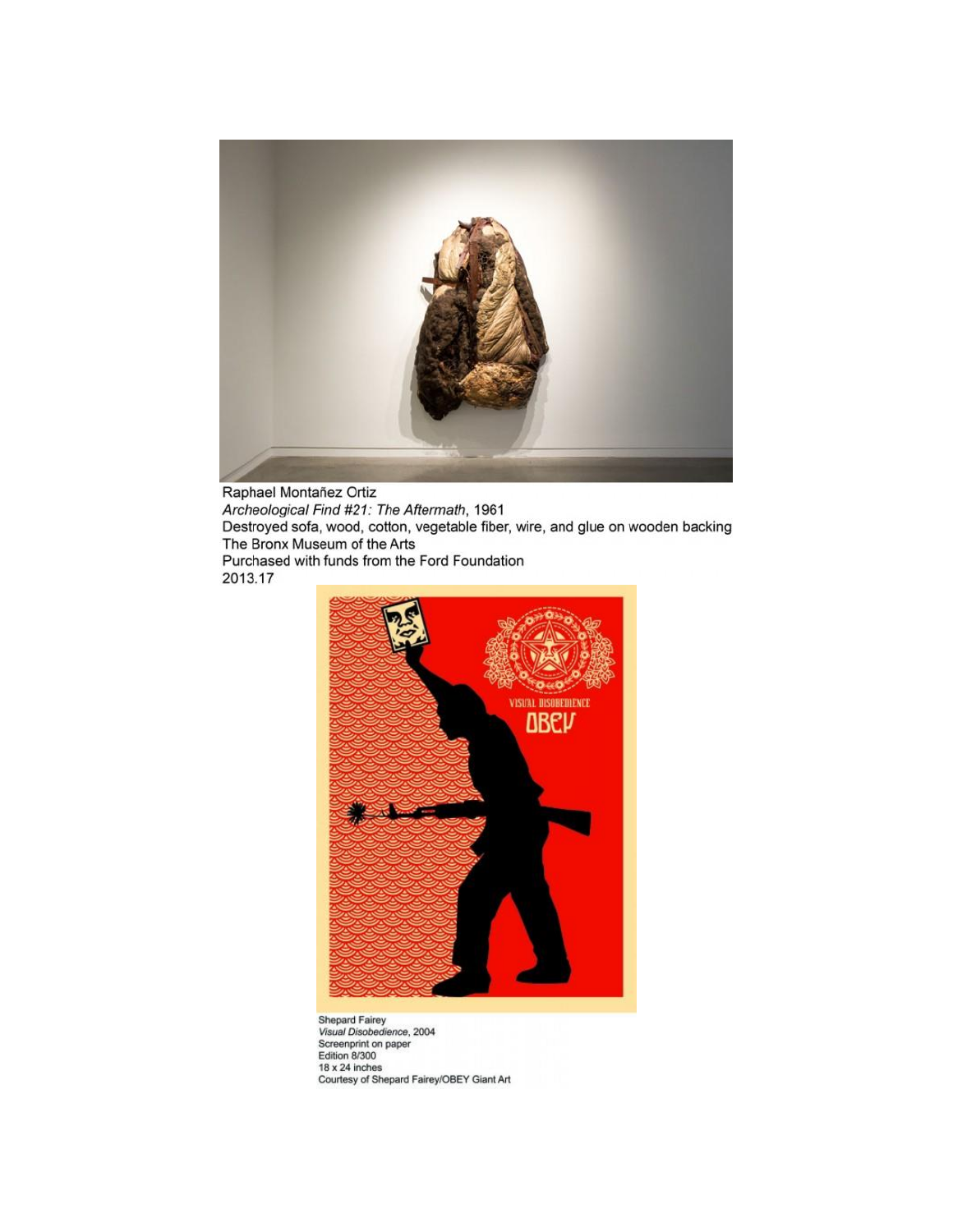

Raphael Montañez Ortiz Archeological Find #21: The Aftermath, 1961<br>Destroyed sofa, wood, cotton, vegetable fiber, wire, and glue on wooden backing The Bronx Museum of the Arts Purchased with funds from the Ford Foundation 2013.17



Shepard Fairey<br>Visual Disobedience, 2004<br>Screenprint on paper<br>Edition 8/300 18 x 24 inches<br>Courtesy of Shepard Fairey/OBEY Giant Art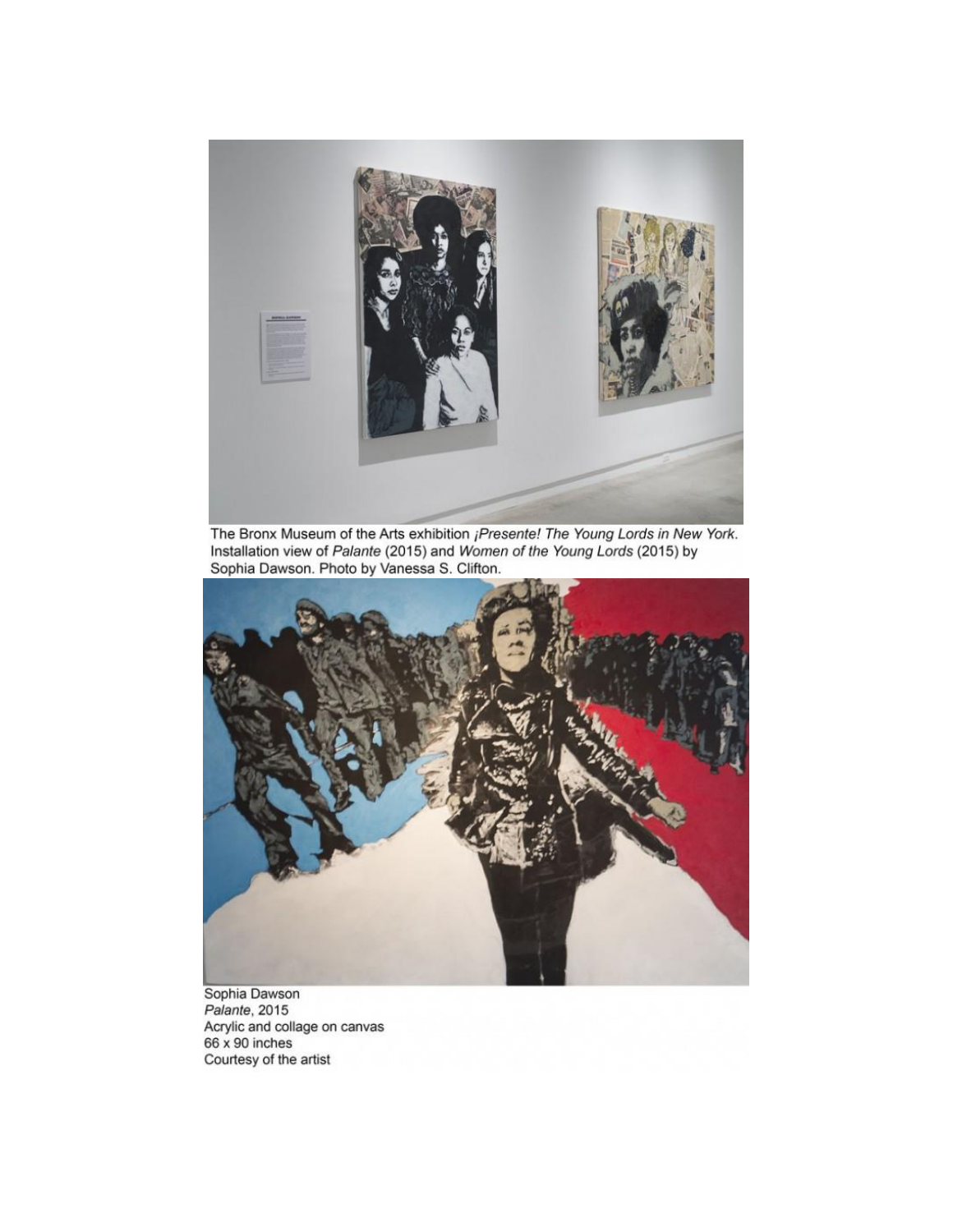

The Bronx Museum of the Arts exhibition *iPresente! The Young Lords in New York.*<br>Installation view of *Palante* (2015) and *Women of the Young Lords* (2015) by Sophia Dawson. Photo by Vanessa S. Clifton.



Sophia Dawson<br>Palante, 2015<br>Acrylic and collage on canvas<br>66 x 90 inches<br>Courtesy of the artist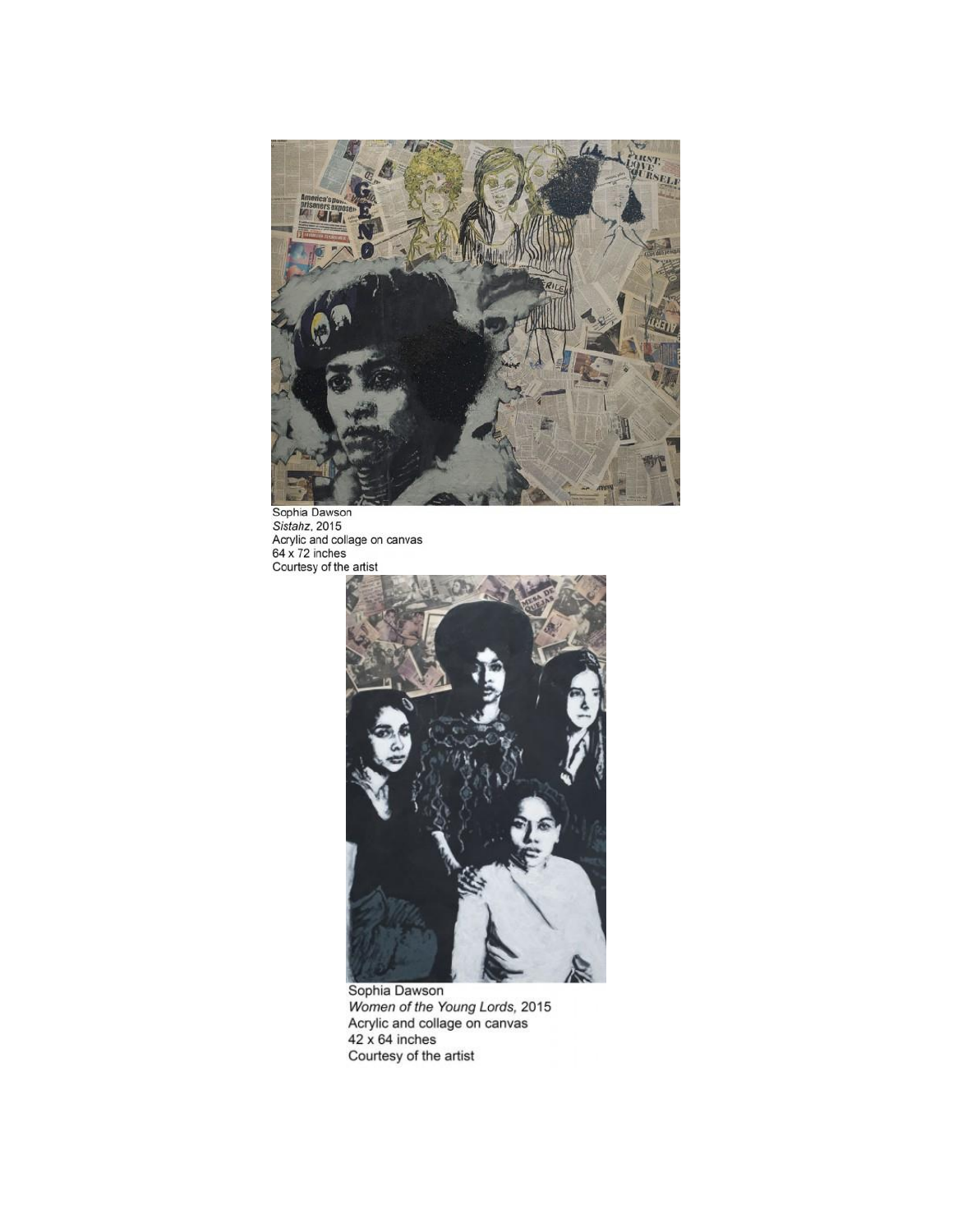

Sophia Dawson<br>Sistahz, 2015<br>Acrylic and collage on canvas<br>64 x 72 inches<br>Courtesy of the artist



Sophia Dawson<br>Women of the Young Lords, 2015<br>Acrylic and collage on canvas<br>42 x 64 inches<br>Courtesy of the artist